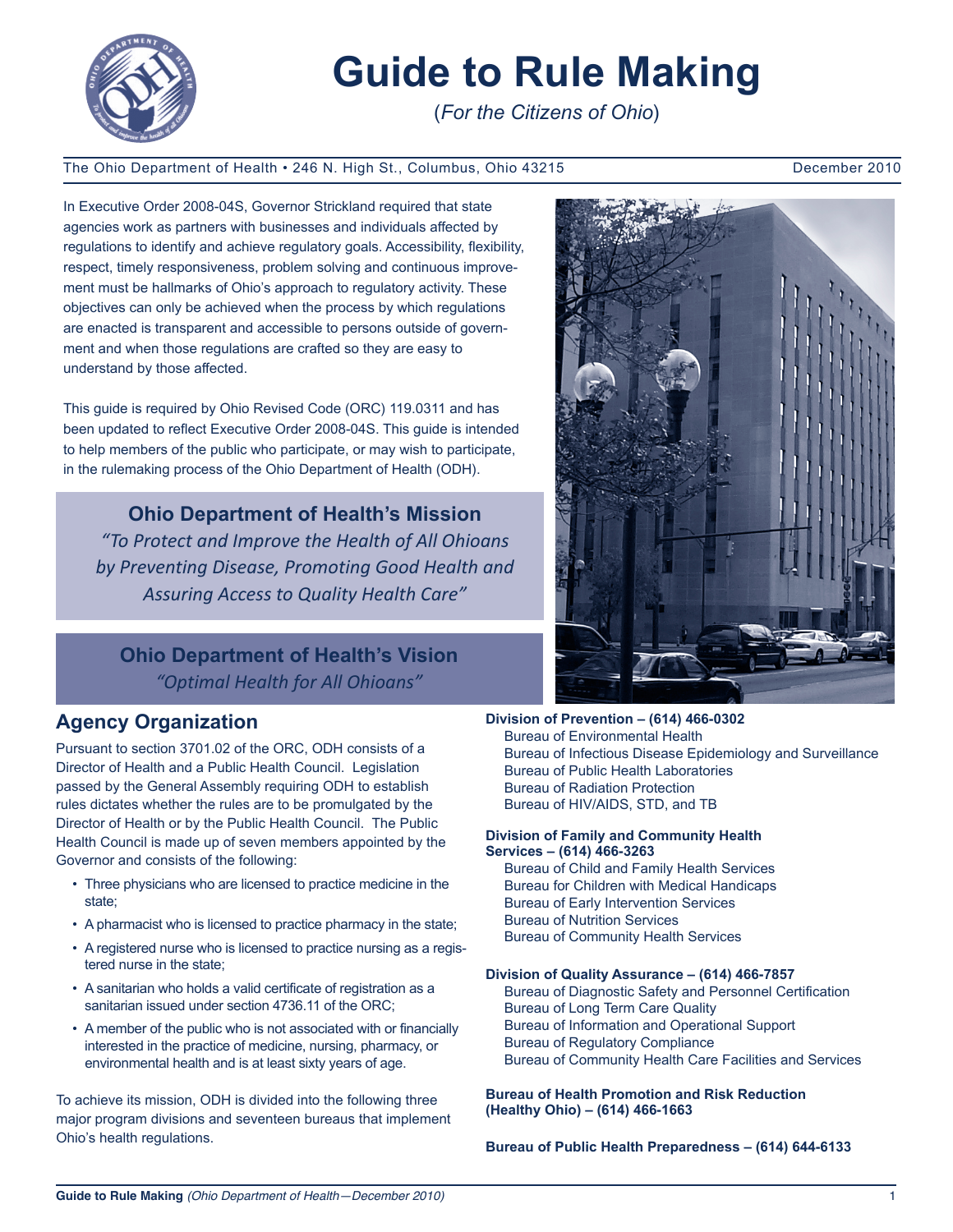

# **Guide to Rule Making**

(*For the Citizens of Ohio*)

#### The Ohio Department of Health • 246 N. High St., Columbus, Ohio 43215 December 2010

In Executive Order 2008-04S, Governor Strickland required that state agencies work as partners with businesses and individuals affected by regulations to identify and achieve regulatory goals. Accessibility, flexibility, respect, timely responsiveness, problem solving and continuous improvement must be hallmarks of Ohio's approach to regulatory activity. These objectives can only be achieved when the process by which regulations are enacted is transparent and accessible to persons outside of government and when those regulations are crafted so they are easy to understand by those affected.

Ī

This guide is required by Ohio Revised Code (ORC) 119.0311 and has been updated to reflect Executive Order 2008-04S. This guide is intended to help members of the public who participate, or may wish to participate, in the rulemaking process of the Ohio Department of Health (ODH).

**Ohio Department of Health's Mission** *"To Protect and Improve the Health of All Ohioans by Preventing Disease, Promoting Good Health and Assuring Access to Quality Health Care"*

**Ohio Department of Health's Vision** *"Optimal Health for All Ohioans"*

# **Agency Organization**

Pursuant to section 3701.02 of the ORC, ODH consists of a Director of Health and a Public Health Council. Legislation passed by the General Assembly requiring ODH to establish rules dictates whether the rules are to be promulgated by the Director of Health or by the Public Health Council. The Public Health Council is made up of seven members appointed by the Governor and consists of the following:

- Three physicians who are licensed to practice medicine in the state;
- A pharmacist who is licensed to practice pharmacy in the state;
- A registered nurse who is licensed to practice nursing as a registered nurse in the state;
- A sanitarian who holds a valid certificate of registration as a sanitarian issued under section 4736.11 of the ORC;
- A member of the public who is not associated with or financially interested in the practice of medicine, nursing, pharmacy, or environmental health and is at least sixty years of age.

To achieve its mission, ODH is divided into the following three major program divisions and seventeen bureaus that implement Ohio's health regulations.



**Division of Prevention – (614) 466-0302** Bureau of Environmental Health Bureau of Infectious Disease Epidemiology and Surveillance Bureau of Public Health Laboratories Bureau of Radiation Protection Bureau of HIV/AIDS, STD, and TB

#### **Division of Family and Community Health Services – (614) 466-3263**

Bureau of Child and Family Health Services Bureau for Children with Medical Handicaps Bureau of Early Intervention Services Bureau of Nutrition Services Bureau of Community Health Services

#### **Division of Quality Assurance – (614) 466-7857**

Bureau of Diagnostic Safety and Personnel Certification Bureau of Long Term Care Quality Bureau of Information and Operational Support Bureau of Regulatory Compliance Bureau of Community Health Care Facilities and Services

**Bureau of Health Promotion and Risk Reduction (Healthy Ohio) – (614) 466-1663**

**Bureau of Public Health Preparedness – (614) 644-6133**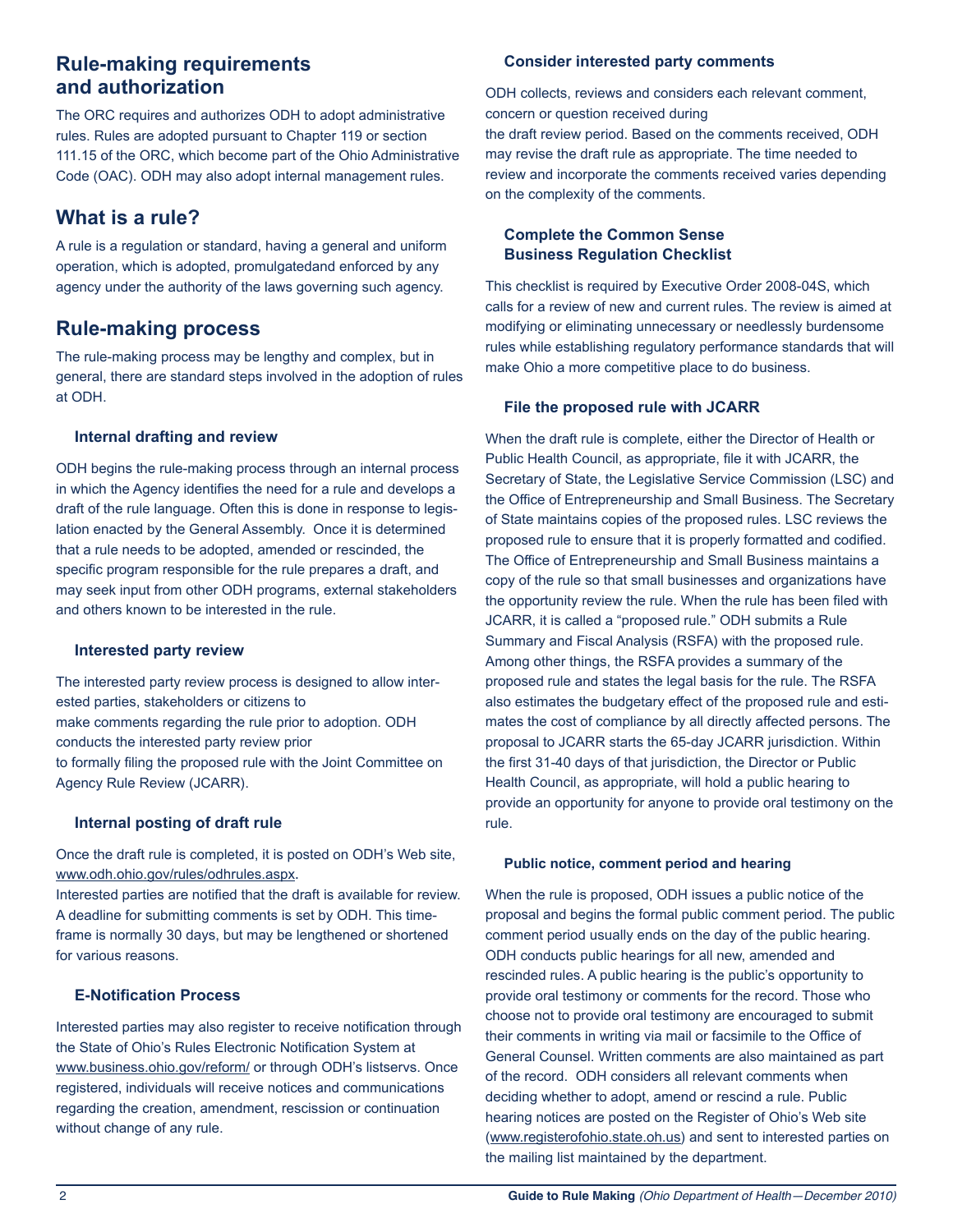# **Rule-making requirements and authorization**

The ORC requires and authorizes ODH to adopt administrative rules. Rules are adopted pursuant to Chapter 119 or section 111.15 of the ORC, which become part of the Ohio Administrative Code (OAC). ODH may also adopt internal management rules.

# **What is a rule?**

A rule is a regulation or standard, having a general and uniform operation, which is adopted, promulgatedand enforced by any agency under the authority of the laws governing such agency.

# **Rule-making process**

The rule-making process may be lengthy and complex, but in general, there are standard steps involved in the adoption of rules at ODH.

#### **Internal drafting and review**

ODH begins the rule-making process through an internal process in which the Agency identifies the need for a rule and develops a draft of the rule language. Often this is done in response to legislation enacted by the General Assembly. Once it is determined that a rule needs to be adopted, amended or rescinded, the specific program responsible for the rule prepares a draft, and may seek input from other ODH programs, external stakeholders and others known to be interested in the rule.

#### **Interested party review**

The interested party review process is designed to allow interested parties, stakeholders or citizens to make comments regarding the rule prior to adoption. ODH conducts the interested party review prior to formally filing the proposed rule with the Joint Committee on Agency Rule Review (JCARR).

#### **Internal posting of draft rule**

Once the draft rule is completed, it is posted on ODH's Web site, www.odh.ohio.gov/rules/odhrules.aspx.

Interested parties are notified that the draft is available for review. A deadline for submitting comments is set by ODH. This timeframe is normally 30 days, but may be lengthened or shortened for various reasons.

#### **E-Notification Process**

Interested parties may also register to receive notification through the State of Ohio's Rules Electronic Notification System at www.business.ohio.gov/reform/ or through ODH's listservs. Once registered, individuals will receive notices and communications regarding the creation, amendment, rescission or continuation without change of any rule.

#### **Consider interested party comments**

ODH collects, reviews and considers each relevant comment, concern or question received during the draft review period. Based on the comments received, ODH may revise the draft rule as appropriate. The time needed to review and incorporate the comments received varies depending on the complexity of the comments.

#### **Complete the Common Sense Business Regulation Checklist**

This checklist is required by Executive Order 2008-04S, which calls for a review of new and current rules. The review is aimed at modifying or eliminating unnecessary or needlessly burdensome rules while establishing regulatory performance standards that will make Ohio a more competitive place to do business.

#### **File the proposed rule with JCARR**

When the draft rule is complete, either the Director of Health or Public Health Council, as appropriate, file it with JCARR, the Secretary of State, the Legislative Service Commission (LSC) and the Office of Entrepreneurship and Small Business. The Secretary of State maintains copies of the proposed rules. LSC reviews the proposed rule to ensure that it is properly formatted and codified. The Office of Entrepreneurship and Small Business maintains a copy of the rule so that small businesses and organizations have the opportunity review the rule. When the rule has been filed with JCARR, it is called a "proposed rule." ODH submits a Rule Summary and Fiscal Analysis (RSFA) with the proposed rule. Among other things, the RSFA provides a summary of the proposed rule and states the legal basis for the rule. The RSFA also estimates the budgetary effect of the proposed rule and estimates the cost of compliance by all directly affected persons. The proposal to JCARR starts the 65-day JCARR jurisdiction. Within the first 31-40 days of that jurisdiction, the Director or Public Health Council, as appropriate, will hold a public hearing to provide an opportunity for anyone to provide oral testimony on the rule.

#### **Public notice, comment period and hearing**

When the rule is proposed, ODH issues a public notice of the proposal and begins the formal public comment period. The public comment period usually ends on the day of the public hearing. ODH conducts public hearings for all new, amended and rescinded rules. A public hearing is the public's opportunity to provide oral testimony or comments for the record. Those who choose not to provide oral testimony are encouraged to submit their comments in writing via mail or facsimile to the Office of General Counsel. Written comments are also maintained as part of the record. ODH considers all relevant comments when deciding whether to adopt, amend or rescind a rule. Public hearing notices are posted on the Register of Ohio's Web site (www.registerofohio.state.oh.us) and sent to interested parties on the mailing list maintained by the department.